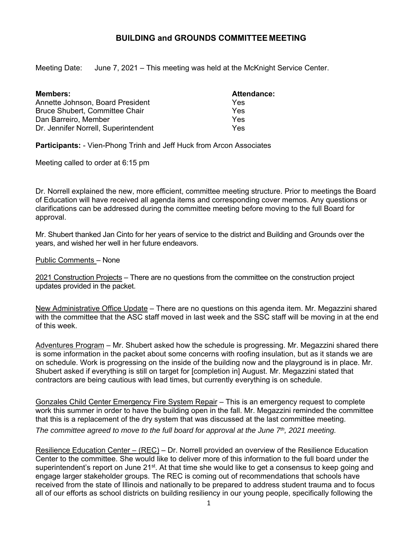## **BUILDING and GROUNDS COMMITTEE MEETING**

Meeting Date: June 7, 2021 – This meeting was held at the McKnight Service Center.

| <b>Members:</b>                      | <b>Attendance:</b> |
|--------------------------------------|--------------------|
| Annette Johnson, Board President     | Yes                |
| Bruce Shubert, Committee Chair       | Yes                |
| Dan Barreiro, Member                 | Yes                |
| Dr. Jennifer Norrell, Superintendent | Yes                |

**Participants:** - Vien-Phong Trinh and Jeff Huck from Arcon Associates

Meeting called to order at 6:15 pm

Dr. Norrell explained the new, more efficient, committee meeting structure. Prior to meetings the Board of Education will have received all agenda items and corresponding cover memos. Any questions or clarifications can be addressed during the committee meeting before moving to the full Board for approval.

Mr. Shubert thanked Jan Cinto for her years of service to the district and Building and Grounds over the years, and wished her well in her future endeavors.

Public Comments – None

2021 Construction Projects - There are no questions from the committee on the construction project updates provided in the packet.

New Administrative Office Update – There are no questions on this agenda item. Mr. Megazzini shared with the committee that the ASC staff moved in last week and the SSC staff will be moving in at the end of this week.

Adventures Program - Mr. Shubert asked how the schedule is progressing. Mr. Megazzini shared there is some information in the packet about some concerns with roofing insulation, but as it stands we are on schedule. Work is progressing on the inside of the building now and the playground is in place. Mr. Shubert asked if everything is still on target for [completion in] August. Mr. Megazzini stated that contractors are being cautious with lead times, but currently everything is on schedule.

Gonzales Child Center Emergency Fire System Repair – This is an emergency request to complete work this summer in order to have the building open in the fall. Mr. Megazzini reminded the committee that this is a replacement of the dry system that was discussed at the last committee meeting. *The committee agreed to move to the full board for approval at the June 7th, 2021 meeting.*

Resilience Education Center – (REC) – Dr. Norrell provided an overview of the Resilience Education Center to the committee. She would like to deliver more of this information to the full board under the superintendent's report on June  $21^{st}$ . At that time she would like to get a consensus to keep going and engage larger stakeholder groups. The REC is coming out of recommendations that schools have received from the state of Illinois and nationally to be prepared to address student trauma and to focus all of our efforts as school districts on building resiliency in our young people, specifically following the